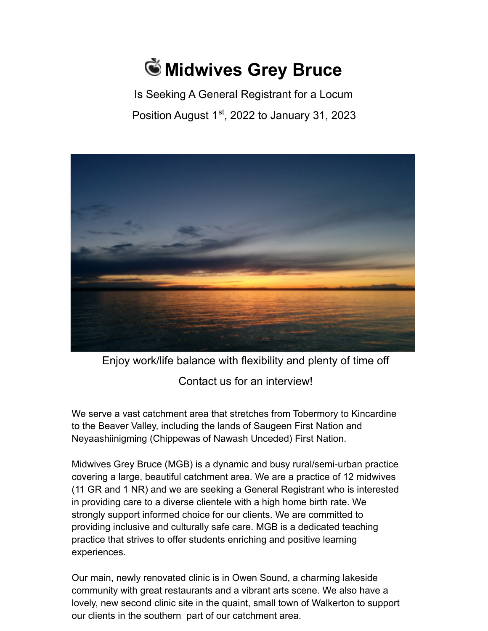## **Midwives Grey Bruce**

Is Seeking A General Registrant for a Locum Position August  $1<sup>st</sup>$ , 2022 to January 31, 2023



Enjoy work/life balance with flexibility and plenty of time off Contact us for an interview!

We serve a vast catchment area that stretches from Tobermory to Kincardine to the Beaver Valley, including the lands of Saugeen First Nation and Neyaashiinigming (Chippewas of Nawash Unceded) First Nation.

Midwives Grey Bruce (MGB) is a dynamic and busy rural/semi-urban practice covering a large, beautiful catchment area. We are a practice of 12 midwives (11 GR and 1 NR) and we are seeking a General Registrant who is interested in providing care to a diverse clientele with a high home birth rate. We strongly support informed choice for our clients. We are committed to providing inclusive and culturally safe care. MGB is a dedicated teaching practice that strives to offer students enriching and positive learning experiences.

Our main, newly renovated clinic is in Owen Sound, a charming lakeside community with great restaurants and a vibrant arts scene. We also have a lovely, new second clinic site in the quaint, small town of Walkerton to support our clients in the southern part of our catchment area.